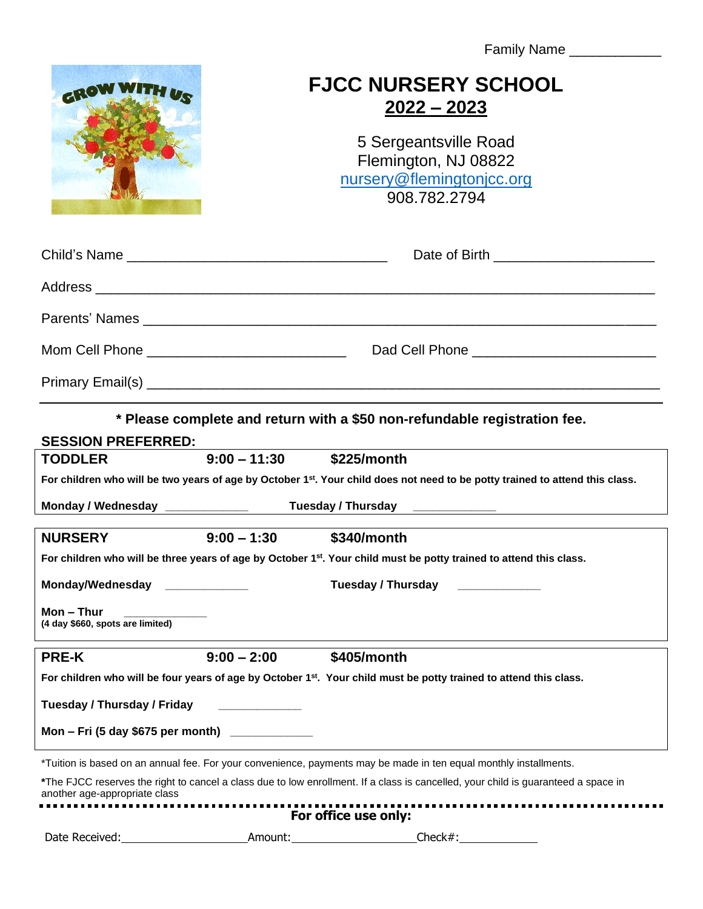Family Name \_\_\_\_\_\_\_\_\_\_\_



## **FJCC NURSERY SCHOOL 2022 – 2023**

5 Sergeantsville Road Flemington, NJ 08822 [nursery@flemingtonjcc.org](mailto:nursery@flemingtonjcc.org) 908.782.2794

|                                                  | Date of Birth ________________________         |
|--------------------------------------------------|------------------------------------------------|
|                                                  |                                                |
|                                                  |                                                |
| Mom Cell Phone _________________________________ | Dad Cell Phone _______________________________ |
|                                                  |                                                |

**\* Please complete and return with a \$50 non-refundable registration fee.** 

| <b>SESSION PREFERRED:</b>                                                                                                                 |                |                                                                                                                                    |  |  |
|-------------------------------------------------------------------------------------------------------------------------------------------|----------------|------------------------------------------------------------------------------------------------------------------------------------|--|--|
| <b>TODDLER</b>                                                                                                                            | $9:00 - 11:30$ | \$225/month                                                                                                                        |  |  |
| For children who will be two years of age by October 1 <sup>st</sup> . Your child does not need to be potty trained to attend this class. |                |                                                                                                                                    |  |  |
| Monday / Wednesday ______________<br>Tuesday / Thursday                                                                                   |                |                                                                                                                                    |  |  |
| <b>NURSERY</b>                                                                                                                            | $9:00 - 1:30$  | \$340/month                                                                                                                        |  |  |
| For children who will be three years of age by October 1 <sup>st</sup> . Your child must be potty trained to attend this class.           |                |                                                                                                                                    |  |  |
| Monday/Wednesday _____________                                                                                                            |                | Tuesday / Thursday                                                                                                                 |  |  |
| Mon – Thur<br>(4 day \$660, spots are limited)                                                                                            |                |                                                                                                                                    |  |  |
| <b>PRE-K</b>                                                                                                                              | $9:00 - 2:00$  | \$405/month                                                                                                                        |  |  |
|                                                                                                                                           |                |                                                                                                                                    |  |  |
|                                                                                                                                           |                | For children who will be four years of age by October 1 <sup>st</sup> . Your child must be potty trained to attend this class.     |  |  |
| Tuesday / Thursday / Friday                                                                                                               |                |                                                                                                                                    |  |  |
| Mon - Fri (5 day \$675 per month) _____________                                                                                           |                |                                                                                                                                    |  |  |
|                                                                                                                                           |                | *Tuition is based on an annual fee. For your convenience, payments may be made in ten equal monthly installments.                  |  |  |
| another age-appropriate class                                                                                                             |                | *The FJCC reserves the right to cancel a class due to low enrollment. If a class is cancelled, your child is guaranteed a space in |  |  |
|                                                                                                                                           |                | For office use only:                                                                                                               |  |  |